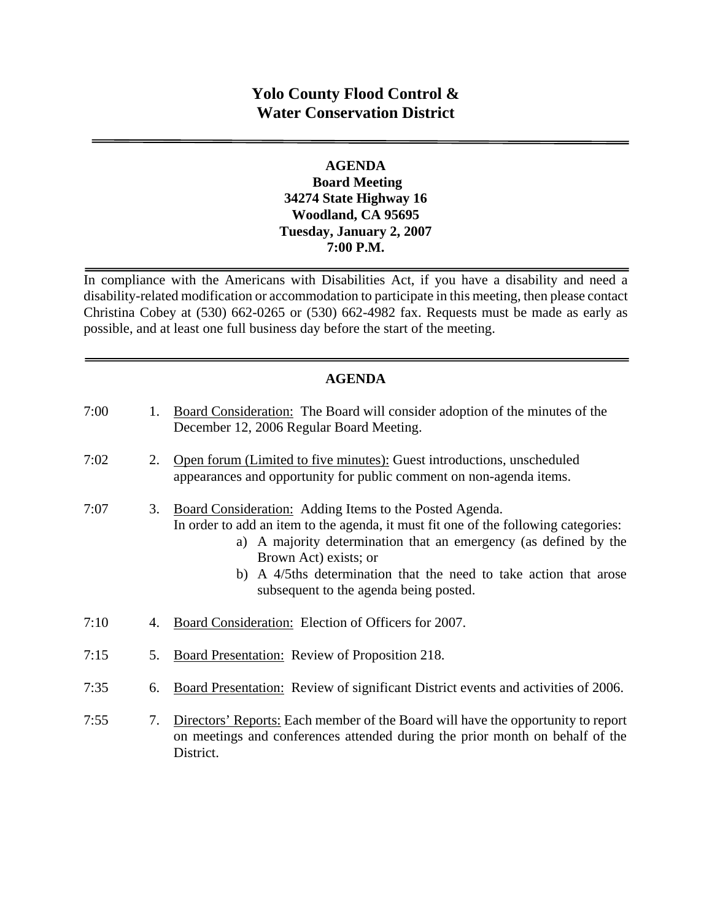# **Yolo County Flood Control & Water Conservation District**

### **AGENDA Board Meeting 34274 State Highway 16 Woodland, CA 95695 Tuesday, January 2, 2007 7:00 P.M.**

In compliance with the Americans with Disabilities Act, if you have a disability and need a disability-related modification or accommodation to participate in this meeting, then please contact Christina Cobey at (530) 662-0265 or (530) 662-4982 fax. Requests must be made as early as possible, and at least one full business day before the start of the meeting.

### **AGENDA**

| 7:00 | 1. | <b>Board Consideration:</b> The Board will consider adoption of the minutes of the<br>December 12, 2006 Regular Board Meeting.                                                                                                                                                                                                                             |
|------|----|------------------------------------------------------------------------------------------------------------------------------------------------------------------------------------------------------------------------------------------------------------------------------------------------------------------------------------------------------------|
| 7:02 | 2. | Open forum (Limited to five minutes): Guest introductions, unscheduled<br>appearances and opportunity for public comment on non-agenda items.                                                                                                                                                                                                              |
| 7:07 | 3. | Board Consideration: Adding Items to the Posted Agenda.<br>In order to add an item to the agenda, it must fit one of the following categories:<br>a) A majority determination that an emergency (as defined by the<br>Brown Act) exists; or<br>b) A 4/5ths determination that the need to take action that arose<br>subsequent to the agenda being posted. |
| 7:10 | 4. | Board Consideration: Election of Officers for 2007.                                                                                                                                                                                                                                                                                                        |
| 7:15 | 5. | <b>Board Presentation:</b> Review of Proposition 218.                                                                                                                                                                                                                                                                                                      |
| 7:35 | 6. | Board Presentation: Review of significant District events and activities of 2006.                                                                                                                                                                                                                                                                          |
| 7:55 | 7. | Directors' Reports: Each member of the Board will have the opportunity to report<br>on meetings and conferences attended during the prior month on behalf of the<br>District.                                                                                                                                                                              |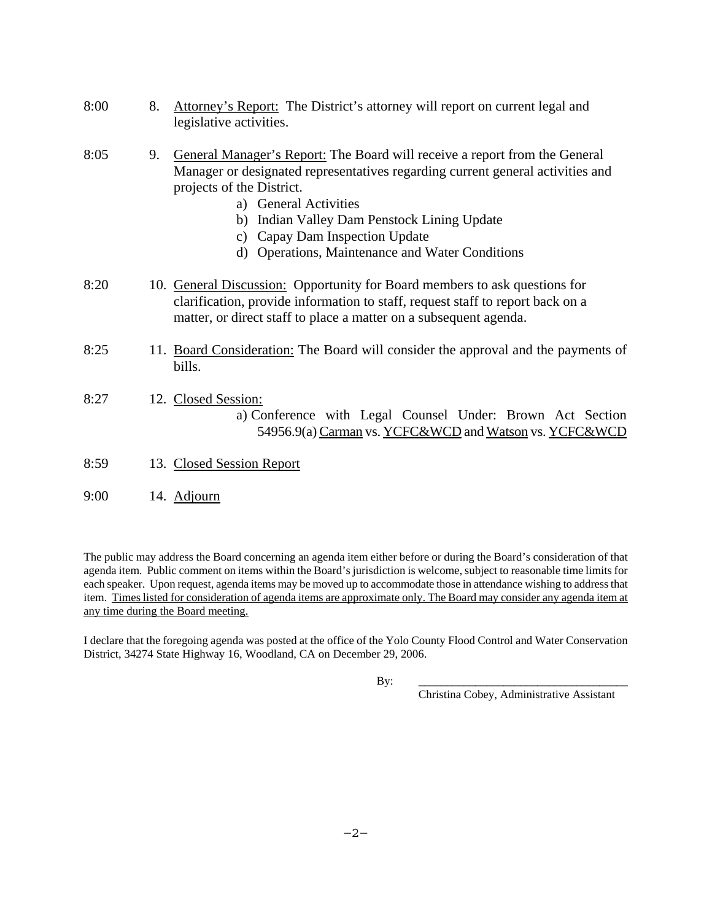| 8:00 | 8. | Attorney's Report: The District's attorney will report on current legal and<br>legislative activities.                                                                                                                                                                                                                                                           |
|------|----|------------------------------------------------------------------------------------------------------------------------------------------------------------------------------------------------------------------------------------------------------------------------------------------------------------------------------------------------------------------|
| 8:05 | 9. | General Manager's Report: The Board will receive a report from the General<br>Manager or designated representatives regarding current general activities and<br>projects of the District.<br>a) General Activities<br>b) Indian Valley Dam Penstock Lining Update<br>c) Capay Dam Inspection Update<br><b>Operations, Maintenance and Water Conditions</b><br>d) |
| 8:20 |    | 10. General Discussion: Opportunity for Board members to ask questions for<br>clarification, provide information to staff, request staff to report back on a<br>matter, or direct staff to place a matter on a subsequent agenda.                                                                                                                                |
| 8:25 |    | 11. Board Consideration: The Board will consider the approval and the payments of<br>bills.                                                                                                                                                                                                                                                                      |
| 8:27 |    | 12. Closed Session:<br>a) Conference with Legal Counsel Under: Brown Act Section<br>54956.9(a) Carman vs. YCFC&WCD and Watson vs. YCFC&WCD                                                                                                                                                                                                                       |
| 8:59 |    | 13. Closed Session Report                                                                                                                                                                                                                                                                                                                                        |
| 9:00 |    | 14. Adjourn                                                                                                                                                                                                                                                                                                                                                      |

The public may address the Board concerning an agenda item either before or during the Board's consideration of that agenda item. Public comment on items within the Board's jurisdiction is welcome, subject to reasonable time limits for each speaker. Upon request, agenda items may be moved up to accommodate those in attendance wishing to address that item. Times listed for consideration of agenda items are approximate only. The Board may consider any agenda item at any time during the Board meeting.

I declare that the foregoing agenda was posted at the office of the Yolo County Flood Control and Water Conservation District, 34274 State Highway 16, Woodland, CA on December 29, 2006.

By: \_\_\_\_\_\_\_\_\_\_\_\_\_\_\_\_\_\_\_\_\_\_\_\_\_\_\_\_\_\_\_\_\_\_\_\_\_

Christina Cobey, Administrative Assistant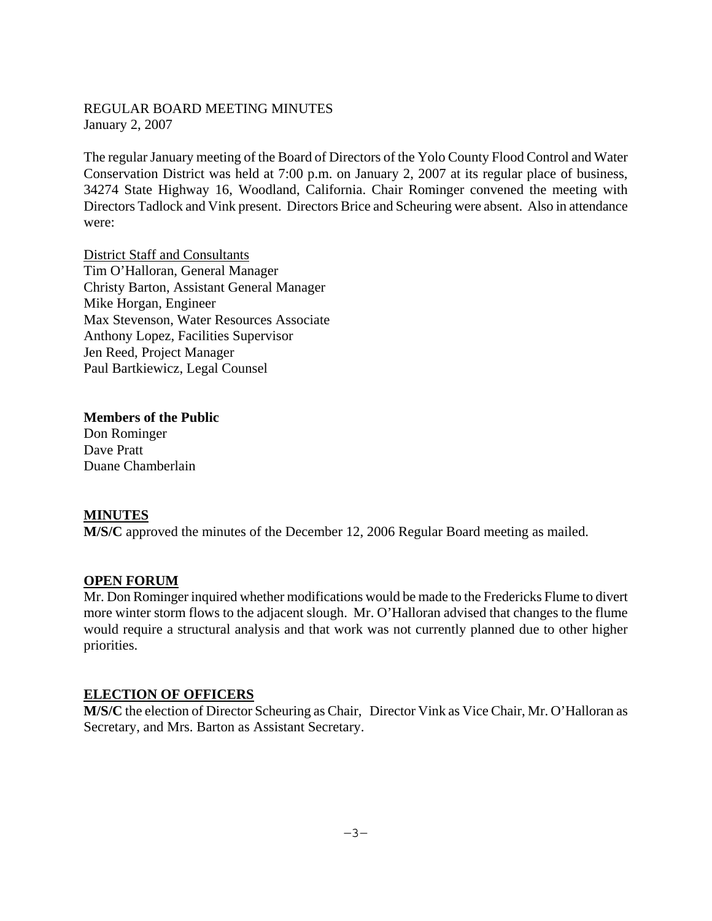### REGULAR BOARD MEETING MINUTES January 2, 2007

The regular January meeting of the Board of Directors of the Yolo County Flood Control and Water Conservation District was held at 7:00 p.m. on January 2, 2007 at its regular place of business, 34274 State Highway 16, Woodland, California. Chair Rominger convened the meeting with Directors Tadlock and Vink present. Directors Brice and Scheuring were absent. Also in attendance were:

District Staff and Consultants Tim O'Halloran, General Manager Christy Barton, Assistant General Manager Mike Horgan, Engineer Max Stevenson, Water Resources Associate Anthony Lopez, Facilities Supervisor Jen Reed, Project Manager Paul Bartkiewicz, Legal Counsel

**Members of the Public**  Don Rominger Dave Pratt Duane Chamberlain

#### **MINUTES**

**M/S/C** approved the minutes of the December 12, 2006 Regular Board meeting as mailed.

#### **OPEN FORUM**

Mr. Don Rominger inquired whether modifications would be made to the Fredericks Flume to divert more winter storm flows to the adjacent slough. Mr. O'Halloran advised that changes to the flume would require a structural analysis and that work was not currently planned due to other higher priorities.

### **ELECTION OF OFFICERS**

**M/S/C** the election of Director Scheuring as Chair, Director Vink as Vice Chair, Mr. O'Halloran as Secretary, and Mrs. Barton as Assistant Secretary.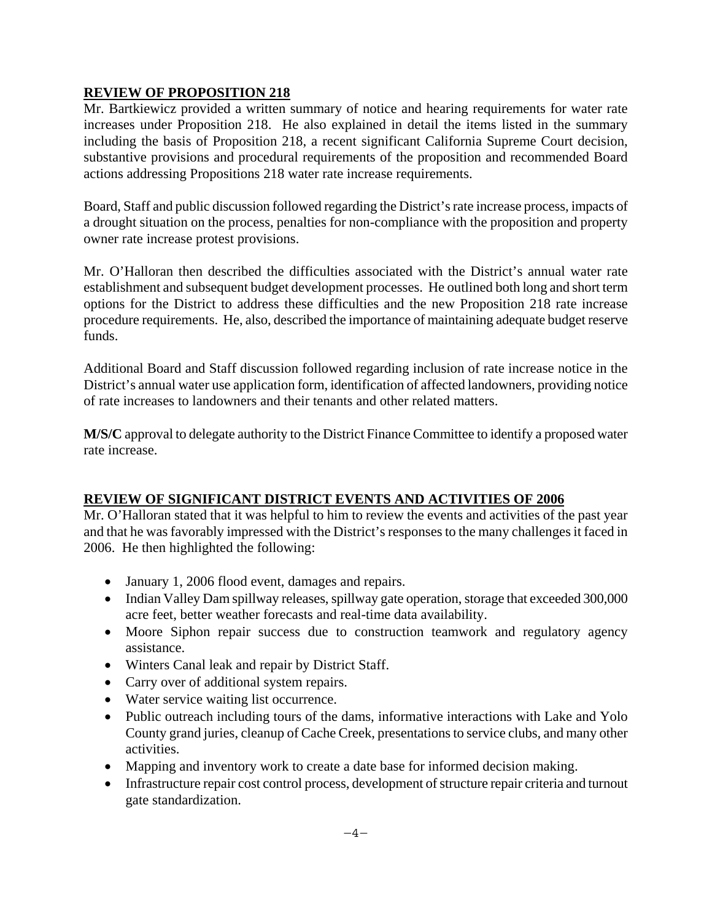### **REVIEW OF PROPOSITION 218**

Mr. Bartkiewicz provided a written summary of notice and hearing requirements for water rate increases under Proposition 218. He also explained in detail the items listed in the summary including the basis of Proposition 218, a recent significant California Supreme Court decision, substantive provisions and procedural requirements of the proposition and recommended Board actions addressing Propositions 218 water rate increase requirements.

Board, Staff and public discussion followed regarding the District's rate increase process, impacts of a drought situation on the process, penalties for non-compliance with the proposition and property owner rate increase protest provisions.

Mr. O'Halloran then described the difficulties associated with the District's annual water rate establishment and subsequent budget development processes. He outlined both long and short term options for the District to address these difficulties and the new Proposition 218 rate increase procedure requirements. He, also, described the importance of maintaining adequate budget reserve funds.

Additional Board and Staff discussion followed regarding inclusion of rate increase notice in the District's annual water use application form, identification of affected landowners, providing notice of rate increases to landowners and their tenants and other related matters.

**M/S/C** approval to delegate authority to the District Finance Committee to identify a proposed water rate increase.

### **REVIEW OF SIGNIFICANT DISTRICT EVENTS AND ACTIVITIES OF 2006**

Mr. O'Halloran stated that it was helpful to him to review the events and activities of the past year and that he was favorably impressed with the District's responses to the many challenges it faced in 2006. He then highlighted the following:

- January 1, 2006 flood event, damages and repairs.
- Indian Valley Dam spillway releases, spillway gate operation, storage that exceeded 300,000 acre feet, better weather forecasts and real-time data availability.
- Moore Siphon repair success due to construction teamwork and regulatory agency assistance.
- Winters Canal leak and repair by District Staff.
- Carry over of additional system repairs.
- Water service waiting list occurrence.
- Public outreach including tours of the dams, informative interactions with Lake and Yolo County grand juries, cleanup of Cache Creek, presentations to service clubs, and many other activities.
- Mapping and inventory work to create a date base for informed decision making.
- Infrastructure repair cost control process, development of structure repair criteria and turnout gate standardization.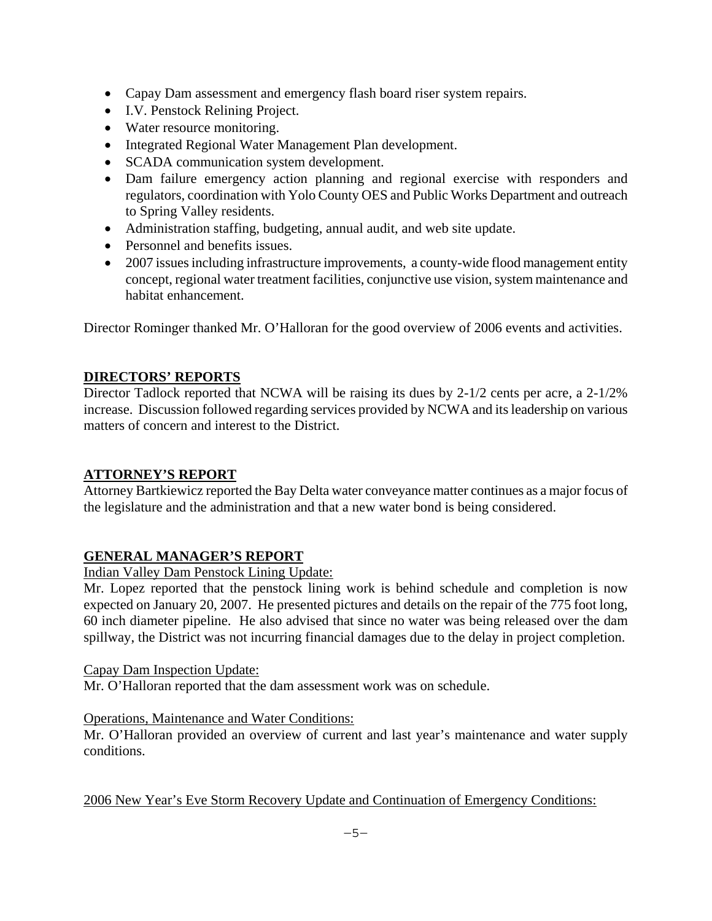- Capay Dam assessment and emergency flash board riser system repairs.
- I.V. Penstock Relining Project.
- Water resource monitoring.
- Integrated Regional Water Management Plan development.
- SCADA communication system development.
- Dam failure emergency action planning and regional exercise with responders and regulators, coordination with Yolo County OES and Public Works Department and outreach to Spring Valley residents.
- Administration staffing, budgeting, annual audit, and web site update.
- Personnel and benefits issues.
- 2007 issues including infrastructure improvements, a county-wide flood management entity concept, regional water treatment facilities, conjunctive use vision, system maintenance and habitat enhancement.

Director Rominger thanked Mr. O'Halloran for the good overview of 2006 events and activities.

# **DIRECTORS' REPORTS**

Director Tadlock reported that NCWA will be raising its dues by 2-1/2 cents per acre, a 2-1/2% increase. Discussion followed regarding services provided by NCWA and its leadership on various matters of concern and interest to the District.

# **ATTORNEY'S REPORT**

Attorney Bartkiewicz reported the Bay Delta water conveyance matter continues as a major focus of the legislature and the administration and that a new water bond is being considered.

# **GENERAL MANAGER'S REPORT**

# Indian Valley Dam Penstock Lining Update:

Mr. Lopez reported that the penstock lining work is behind schedule and completion is now expected on January 20, 2007. He presented pictures and details on the repair of the 775 foot long, 60 inch diameter pipeline. He also advised that since no water was being released over the dam spillway, the District was not incurring financial damages due to the delay in project completion.

### Capay Dam Inspection Update:

Mr. O'Halloran reported that the dam assessment work was on schedule.

# Operations, Maintenance and Water Conditions:

Mr. O'Halloran provided an overview of current and last year's maintenance and water supply conditions.

2006 New Year's Eve Storm Recovery Update and Continuation of Emergency Conditions: